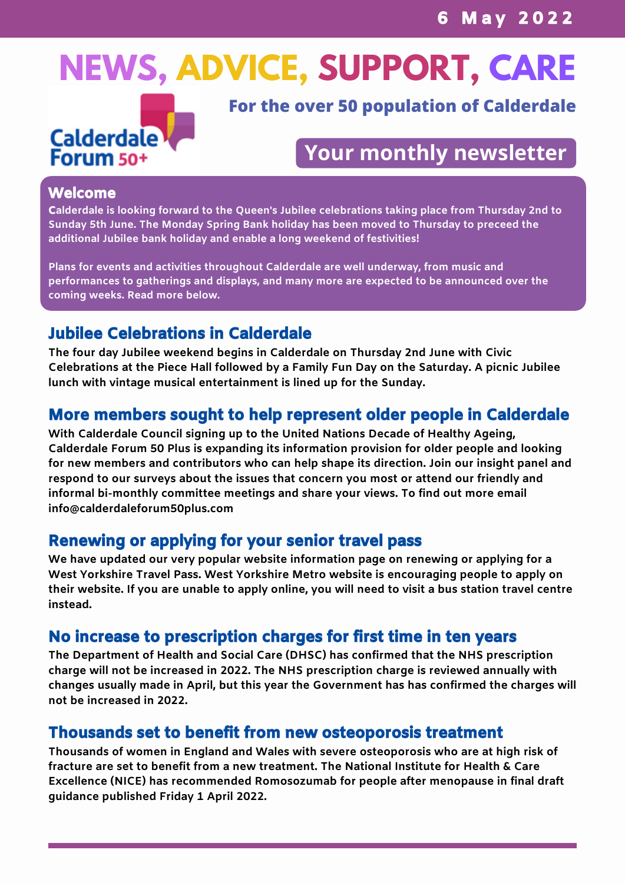# **NEWS, ADVICE, SUPPORT, CARE**



# **For the over 50 population of Calderdale**

# **Your monthly newsletter**

#### Welcome

C**alderdale is looking forward to the Queen's Jubilee celebrations taking place from Thursday 2nd to Sunday 5th June. The Monday Spring Bank holiday has been moved to Thursday to preceed the additional Jubilee bank holiday and enable a long weekend of festivities!**

**Plans for events and activities throughout Calderdale are well underway, from music and performances to gatherings and displays, and many more are expected to be announced over the coming weeks. Read more below.**

# Jubilee Celebrations in Calderdale

**The four day Jubilee weekend begins in Calderdale on Thursday 2nd June with Civic Celebrations at the Piece Hall followed by a Family Fun Day on the Saturday. A picnic Jubilee lunch with vintage musical entertainment is lined up for the Sunday.**

# More members sought to help represent older people in Calderdale

**With Calderdale Council signing up to the United Nations Decade of Healthy Ageing, Calderdale Forum 50 Plus is expanding its information provision for older people and looking for new members and contributors who can help shape its direction. Join our insight panel and respond to our surveys about the issues that concern you most or attend our friendly and informal bi-monthly committee meetings and share your views. To find out more email info@calderdaleforum50plus.com**

# Renewing or applying for your senior travel pass

**We have updated our very popular website information page on renewing or applying for a West Yorkshire Travel Pass. West Yorkshire Metro website is encouraging people to apply on** their website. If you are unable to apply online, you will need to visit a bus station travel centre **instead.**

# No increase to prescription charges for first time in ten years

**The Department of Health and Social Care (DHSC) has confirmed that the NHS prescription charge will not be increased in 2022. The NHS prescription charge is reviewed annually with changes usually made in April, but this year the Government has has confirmed the charges will not be increased in 2022.**

# Thousands set to benefit from new osteoporosis treatment

**Thousands of women in England and Wales with severe osteoporosis who are at high risk of fracture are set to benefit from a new treatment. The National Institute for Health & Care Excellence (NICE) has recommended Romosozumab for people after menopause in final draft guidance published Friday 1 April 2022.**